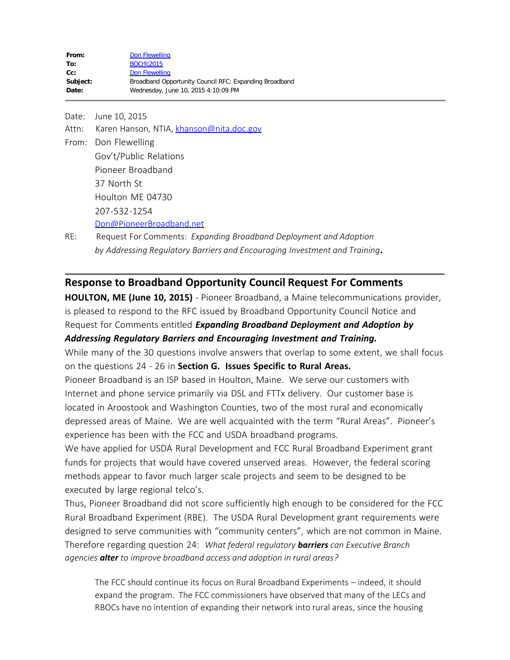| From:    | Don Flewelling                                         |
|----------|--------------------------------------------------------|
| To:      | BOCrfc2015                                             |
| $Cc$ :   | Don Flewelling                                         |
| Subject: | Broadband Opportunity Council RFC: Expanding Broadband |
| Date:    | Wednesday, June 10, 2015 4:10:09 PM                    |
|          |                                                        |

Date: June 10, 2015 Attn: Karen Hanson, NTIA, [khanson@nita.doc.gov](mailto:khanson@nita.doc.gov) From: Don Flewelling Gov't/Public Relations Pioneer Broadband 37 North St Houlton ME 04730 207-532-1254 [Don@PioneerBroadband.net](mailto:Don@PioneerBroadband.net) RE: Request For Comments: *Expanding Broadband Deployment and Adoption*

 *by Addressing Regulatory Barriers and Encouraging Investment and Training.*

## **Response to Broadband Opportunity Council Request For Comments**

**HOULTON, ME (June 10, 2015)** - Pioneer Broadband, a Maine telecommunications provider, is pleased to respond to the RFC issued by Broadband Opportunity Council Notice and Request for Comments entitled *Expanding Broadband Deployment and Adoption by Addressing Regulatory Barriers and Encouraging Investment and Training.*

While many of the 30 questions involve answers that overlap to some extent, we shall focus on the questions 24 - 26 in **Section G. Issues Specific to Rural Areas.**

Pioneer Broadband is an ISP based in Houlton, Maine. We serve our customers with Internet and phone service primarily via DSL and FTTx delivery. Our customer base is located in Aroostook and Washington Counties, two of the most rural and economically depressed areas of Maine. We are well acquainted with the term "Rural Areas". Pioneer's experience has been with the FCC and USDA broadband programs.

We have applied for USDA Rural Development and FCC Rural Broadband Experiment grant funds for projects that would have covered unserved areas. However, the federal scoring methods appear to favor much larger scale projects and seem to be designed to be executed by large regional telco's.

Thus, Pioneer Broadband did not score sufficiently high enough to be considered for the FCC Rural Broadband Experiment (RBE). The USDA Rural Development grant requirements were designed to serve communities with "community centers", which are not common in Maine. Therefore regarding question 24: *What federal regulatory barriers can Executive Branch agencies alter to improve broadband access and adoption in rural areas?*

The FCC should continue its focus on Rural Broadband Experiments – indeed, it should expand the program. The FCC commissioners have observed that many of the LECs and RBOCs have no intention of expanding their network into rural areas, since the housing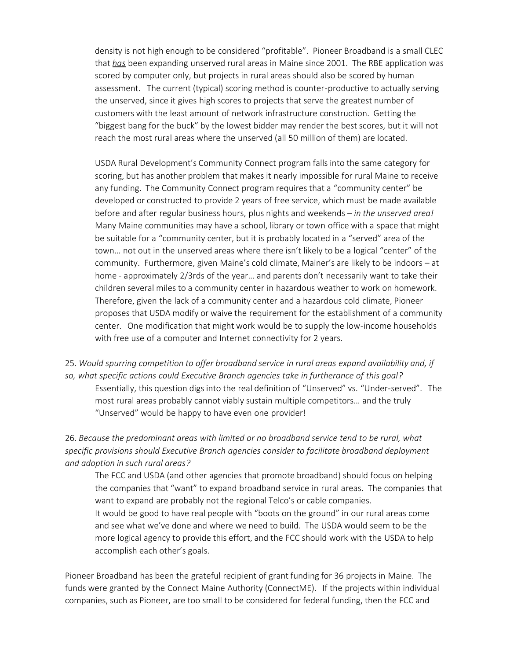density is not high enough to be considered "profitable". Pioneer Broadband is a small CLEC that *has* been expanding unserved rural areas in Maine since 2001. The RBE application was scored by computer only, but projects in rural areas should also be scored by human assessment. The current (typical) scoring method is counter-productive to actually serving the unserved, since it gives high scores to projects that serve the greatest number of customers with the least amount of network infrastructure construction. Getting the "biggest bang for the buck" by the lowest bidder may render the best scores, but it will not reach the most rural areas where the unserved (all 50 million of them) are located.

USDA Rural Development's Community Connect program falls into the same category for scoring, but has another problem that makes it nearly impossible for rural Maine to receive any funding. The Community Connect program requires that a "community center" be developed or constructed to provide 2 years of free service, which must be made available before and after regular business hours, plus nights and weekends – *in the unserved area!* Many Maine communities may have a school, library or town office with a space that might be suitable for a "community center, but it is probably located in a "served" area of the town… not out in the unserved areas where there isn't likely to be a logical "center" of the community. Furthermore, given Maine's cold climate, Mainer's are likely to be indoors – at home - approximately 2/3rds of the year… and parents don't necessarily want to take their children several miles to a community center in hazardous weather to work on homework. Therefore, given the lack of a community center and a hazardous cold climate, Pioneer proposes that USDA modify or waive the requirement for the establishment of a community center. One modification that might work would be to supply the low-income households with free use of a computer and Internet connectivity for 2 years.

25. *Would spurring competition to offer broadband service in rural areas expand availability and, if so, what specific actions could Executive Branch agencies take in furtherance of this goal?* Essentially, this question digs into the real definition of "Unserved" vs. "Under-served". The most rural areas probably cannot viably sustain multiple competitors… and the truly "Unserved" would be happy to have even one provider!

26. *Because the predominant areas with limited or no broadband service tend to be rural, what specific provisions should Executive Branch agencies consider to facilitate broadband deployment and adoption in such rural areas?*

The FCC and USDA (and other agencies that promote broadband) should focus on helping the companies that "want" to expand broadband service in rural areas. The companies that want to expand are probably not the regional Telco's or cable companies.

It would be good to have real people with "boots on the ground" in our rural areas come and see what we've done and where we need to build. The USDA would seem to be the more logical agency to provide this effort, and the FCC should work with the USDA to help accomplish each other's goals.

Pioneer Broadband has been the grateful recipient of grant funding for 36 projects in Maine. The funds were granted by the Connect Maine Authority (ConnectME). If the projects within individual companies, such as Pioneer, are too small to be considered for federal funding, then the FCC and